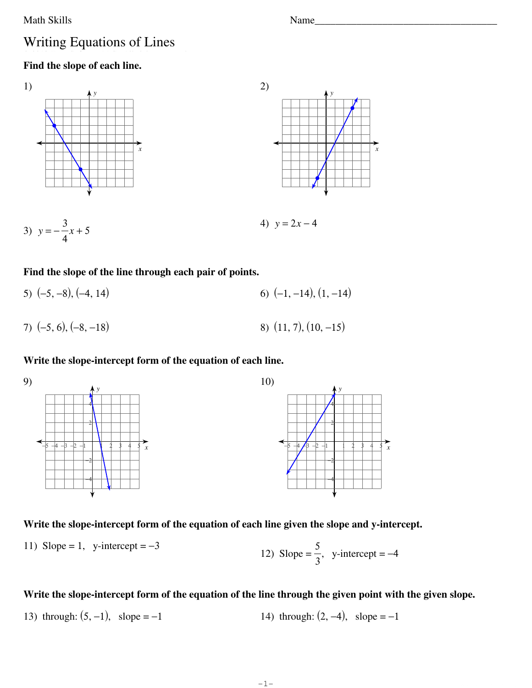#### Math Skills Name

# Writing Equations of Lines

## **Find the slope of each line.**









#### **Find the slope of the line through each pair of points.**

| 5) $(-5, -8)$ , $(-4, 14)$ | 6) $(-1, -14)$ , $(1, -14)$ |
|----------------------------|-----------------------------|
| 7) $(-5, 6), (-8, -18)$    | 8) $(11, 7), (10, -15)$     |

#### **Write the slope-intercept form of the equation of each line.**



### **Write the slope-intercept form of the equation of each line given the slope and y-intercept.**

11) Slope = 1, y-intercept = 
$$
-3
$$
  
12) Slope =  $\frac{5}{3}$ , y-intercept =  $-4$ 

## **Write the slope-intercept form of the equation of the line through the given point with the given slope.**

13) through: 
$$
(5, -1)
$$
, slope = -1  
14) through:  $(2, -4)$ , slope = -1